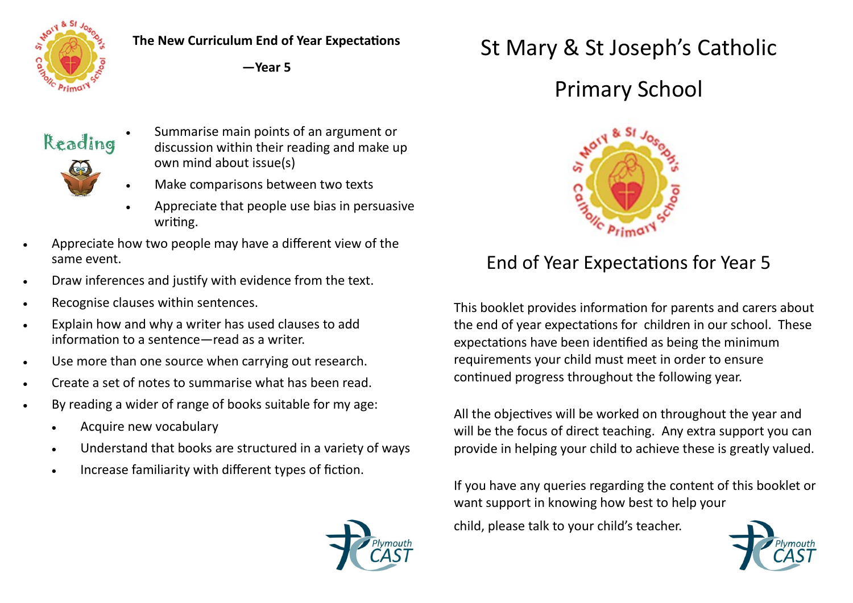

#### **The New Curriculum End of Year Expectations**

**—Year 5**



- Summarise main points of an argument or discussion within their reading and make up own mind about issue(s)
- Make comparisons between two texts
- Appreciate that people use bias in persuasive writing.
- Appreciate how two people may have a different view of the same event.
- Draw inferences and justify with evidence from the text.
- Recognise clauses within sentences.
- Explain how and why a writer has used clauses to add information to a sentence—read as a writer.
- Use more than one source when carrying out research.
- Create a set of notes to summarise what has been read.
- By reading a wider of range of books suitable for my age:
	- Acquire new vocabulary
	- Understand that books are structured in a variety of ways
	- Increase familiarity with different types of fiction.

# St Mary & St Joseph's Catholic

## Primary School



### End of Year Expectations for Year 5

This booklet provides information for parents and carers about the end of year expectations for children in our school. These expectations have been identified as being the minimum requirements your child must meet in order to ensure continued progress throughout the following year.

All the objectives will be worked on throughout the year and will be the focus of direct teaching. Any extra support you can provide in helping your child to achieve these is greatly valued.

If you have any queries regarding the content of this booklet or want support in knowing how best to help your

child, please talk to your child's teacher.